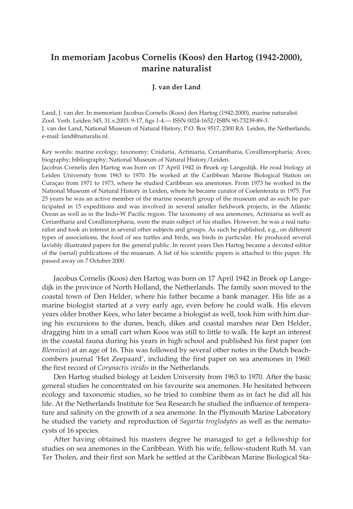## **In memoriam Jacobus Cornelis (Koos) den Hartog (1942-2000), marine naturalist**

## **J. van der Land**

Land, J. van der. In memoriam Jacobus Cornelis (Koos) den Hartog (1942-2000), marine naturalist. Zool. Verh. Leiden 345, 31.x.2003: 9-17, figs 1-4.— ISSN 0024-1652/ISBN 90-73239-89-3. J. van der Land, National Museum of Natural History, P.O. Box 9517, 2300 RA Leiden, the Netherlands, e-mail: land@naturalis.nl.

Key words: marine ecology; taxonomy; Cnidaria, Actiniaria, Ceriantharia, Corallimorpharia; Aves; biography; bibliography; National Museum of Natural History/Leiden.

Jacobus Cornelis den Hartog was born on 17 April 1942 in Broek op Langedijk. He read biology at Leiden University from 1963 to 1970. He worked at the Caribbean Marine Biological Station on Curaçao from 1971 to 1973, where he studied Caribbean sea anemones. From 1973 he worked in the National Museum of Natural History in Leiden, where he became curator of Coelenterata in 1975. For 25 years he was an active member of the marine research group of the museum and as such he participated in 15 expeditions and was involved in several smaller fieldwork projects, in the Atlantic Ocean as well as in the Indo-W Pacific region. The taxonomy of sea anemones, Actiniaria as well as Ceriantharia and Corallimorpharia, were the main subject of his studies. However, he was a real naturalist and took an interest in several other subjects and groups. As such he published, e.g., on different types of associations, the food of sea turtles and birds, sea birds in particular. He produced several lavishly illustrated papers for the general public. In recent years Den Hartog became a devoted editor of the (serial) publications of the museum. A list of his scientific papers is attached to this paper. He passed away on 7 October 2000.

Jacobus Cornelis (Koos) den Hartog was born on 17 April 1942 in Broek op Langedijk in the province of North Holland, the Netherlands. The family soon moved to the coastal town of Den Helder, where his father became a bank manager. His life as a marine biologist started at a very early age, even before he could walk. His eleven years older brother Kees, who later became a biologist as well, took him with him during his excursions to the dunes, beach, dikes and coastal marshes near Den Helder, dragging him in a small cart when Koos was still to little to walk. He kept an interest in the coastal fauna during his years in high school and published his first paper (on *Blennius*) at an age of 16. This was followed by several other notes in the Dutch beachcombers journal 'Het Zeepaard', including the first paper on sea anemones in 1960: the first record of *Corynactis viridis* in the Netherlands.

Den Hartog studied biology at Leiden University from 1963 to 1970. After the basic general studies he concentrated on his favourite sea anemones. He hesitated between ecology and taxonomic studies, so he tried to combine them as in fact he did all his life. At the Netherlands Institute for Sea Research he studied the influence of temperature and salinity on the growth of a sea anemone. In the Plymouth Marine Laboratory he studied the variety and reproduction of *Sagartia troglodytes* as well as the nematocysts of 16 species.

After having obtained his masters degree he managed to get a fellowship for studies on sea anemones in the Caribbean. With his wife, fellow-student Ruth M. van Ter Tholen, and their first son Mark he settled at the Caribbean Marine Biological Sta-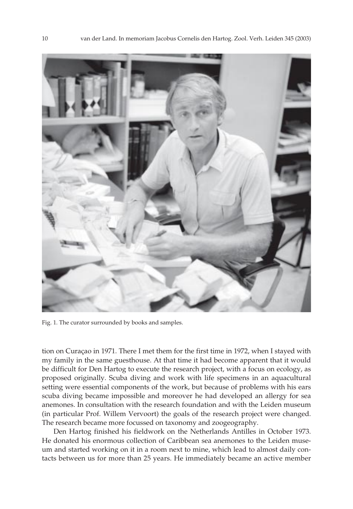

Fig. 1. The curator surrounded by books and samples.

tion on Curaçao in 1971. There I met them for the first time in 1972, when I stayed with my family in the same guesthouse. At that time it had become apparent that it would be difficult for Den Hartog to execute the research project, with a focus on ecology, as proposed originally. Scuba diving and work with life specimens in an aquacultural setting were essential components of the work, but because of problems with his ears scuba diving became impossible and moreover he had developed an allergy for sea anemones. In consultation with the research foundation and with the Leiden museum (in particular Prof. Willem Vervoort) the goals of the research project were changed. The research became more focussed on taxonomy and zoogeography.

Den Hartog finished his fieldwork on the Netherlands Antilles in October 1973. He donated his enormous collection of Caribbean sea anemones to the Leiden museum and started working on it in a room next to mine, which lead to almost daily contacts between us for more than 25 years. He immediately became an active member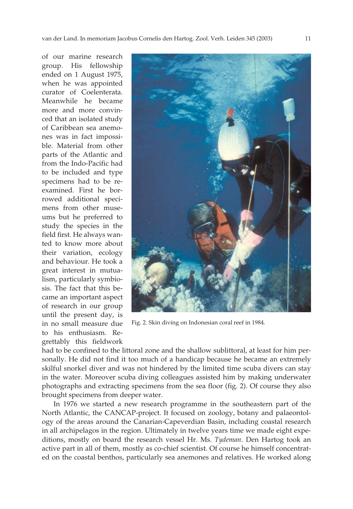of our marine research group. His fellowship ended on 1 August 1975, when he was appointed curator of Coelenterata. Meanwhile he became more and more convinced that an isolated study of Caribbean sea anemones was in fact impossible. Material from other parts of the Atlantic and from the Indo-Pacific had to be included and type specimens had to be reexamined. First he borrowed additional specimens from other museums but he preferred to study the species in the field first. He always wanted to know more about their variation, ecology and behaviour. He took a great interest in mutualism, particularly symbiosis. The fact that this became an important aspect of research in our group until the present day, is in no small measure due to his enthusiasm. Regrettably this fieldwork



Fig. 2. Skin diving on Indonesian coral reef in 1984.

had to be confined to the littoral zone and the shallow sublittoral, at least for him personally. He did not find it too much of a handicap because he became an extremely skilful snorkel diver and was not hindered by the limited time scuba divers can stay in the water. Moreover scuba diving colleagues assisted him by making underwater photographs and extracting specimens from the sea floor (fig. 2). Of course they also brought specimens from deeper water.

In 1976 we started a new research programme in the southeastern part of the North Atlantic, the CANCAP-project. It focused on zoology, botany and palaeontology of the areas around the Canarian-Capeverdian Basin, including coastal research in all archipelagos in the region. Ultimately in twelve years time we made eight expeditions, mostly on board the research vessel Hr. Ms. *Tydeman*. Den Hartog took an active part in all of them, mostly as co-chief scientist. Of course he himself concentrated on the coastal benthos, particularly sea anemones and relatives. He worked along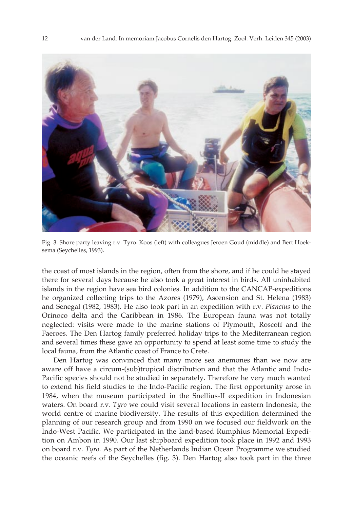

Fig. 3. Shore party leaving r.v. Tyro. Koos (left) with colleagues Jeroen Goud (middle) and Bert Hoeksema (Seychelles, 1993).

the coast of most islands in the region, often from the shore, and if he could he stayed there for several days because he also took a great interest in birds. All uninhabited islands in the region have sea bird colonies. In addition to the CANCAP-expeditions he organized collecting trips to the Azores (1979), Ascension and St. Helena (1983) and Senegal (1982, 1983). He also took part in an expedition with r.v. *Plancius* to the Orinoco delta and the Caribbean in 1986. The European fauna was not totally neglected: visits were made to the marine stations of Plymouth, Roscoff and the Faeroes. The Den Hartog family preferred holiday trips to the Mediterranean region and several times these gave an opportunity to spend at least some time to study the local fauna, from the Atlantic coast of France to Crete.

Den Hartog was convinced that many more sea anemones than we now are aware off have a circum-(sub)tropical distribution and that the Atlantic and Indo-Pacific species should not be studied in separately. Therefore he very much wanted to extend his field studies to the Indo-Pacific region. The first opportunity arose in 1984, when the museum participated in the Snellius-II expedition in Indonesian waters. On board r.v. *Tyro* we could visit several locations in eastern Indonesia, the world centre of marine biodiversity. The results of this expedition determined the planning of our research group and from 1990 on we focused our fieldwork on the Indo-West Pacific. We participated in the land-based Rumphius Memorial Expedition on Ambon in 1990. Our last shipboard expedition took place in 1992 and 1993 on board r.v. *Tyro*. As part of the Netherlands Indian Ocean Programme we studied the oceanic reefs of the Seychelles (fig. 3). Den Hartog also took part in the three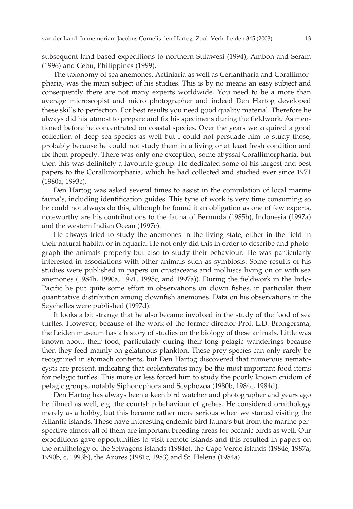subsequent land-based expeditions to northern Sulawesi (1994), Ambon and Seram (1996) and Cebu, Philippines (1999).

The taxonomy of sea anemones, Actiniaria as well as Ceriantharia and Corallimorpharia, was the main subject of his studies. This is by no means an easy subject and consequently there are not many experts worldwide. You need to be a more than average microscopist and micro photographer and indeed Den Hartog developed these skills to perfection. For best results you need good quality material. Therefore he always did his utmost to prepare and fix his specimens during the fieldwork. As mentioned before he concentrated on coastal species. Over the years we acquired a good collection of deep sea species as well but I could not persuade him to study those, probably because he could not study them in a living or at least fresh condition and fix them properly. There was only one exception, some abyssal Corallimorpharia, but then this was definitely a favourite group. He dedicated some of his largest and best papers to the Corallimorpharia, which he had collected and studied ever since 1971 (1980a, 1993c).

Den Hartog was asked several times to assist in the compilation of local marine fauna's, including identification guides. This type of work is very time consuming so he could not always do this, although he found it an obligation as one of few experts, noteworthy are his contributions to the fauna of Bermuda (1985b), Indonesia (1997a) and the western Indian Ocean (1997c).

He always tried to study the anemones in the living state, either in the field in their natural habitat or in aquaria. He not only did this in order to describe and photograph the animals properly but also to study their behaviour. He was particularly interested in associations with other animals such as symbiosis. Some results of his studies were published in papers on crustaceans and molluscs living on or with sea anemones (1984b, 1990a, 1991, 1995c, and 1997a)). During the fieldwork in the Indo-Pacific he put quite some effort in observations on clown fishes, in particular their quantitative distribution among clownfish anemones. Data on his observations in the Seychelles were published (1997d).

It looks a bit strange that he also became involved in the study of the food of sea turtles. However, because of the work of the former director Prof. L.D. Brongersma, the Leiden museum has a history of studies on the biology of these animals. Little was known about their food, particularly during their long pelagic wanderings because then they feed mainly on gelatinous plankton. These prey species can only rarely be recognized in stomach contents, but Den Hartog discovered that numerous nematocysts are present, indicating that coelenterates may be the most important food items for pelagic turtles. This more or less forced him to study the poorly known cnidom of pelagic groups, notably Siphonophora and Scyphozoa (1980b, 1984c, 1984d).

Den Hartog has always been a keen bird watcher and photographer and years ago he filmed as well, e.g. the courtship behaviour of grebes. He considered ornithology merely as a hobby, but this became rather more serious when we started visiting the Atlantic islands. These have interesting endemic bird fauna's but from the marine perspective almost all of them are important breeding areas for oceanic birds as well. Our expeditions gave opportunities to visit remote islands and this resulted in papers on the ornithology of the Selvagens islands (1984e), the Cape Verde islands (1984e, 1987a, 1990b, c, 1993b), the Azores (1981c, 1983) and St. Helena (1984a).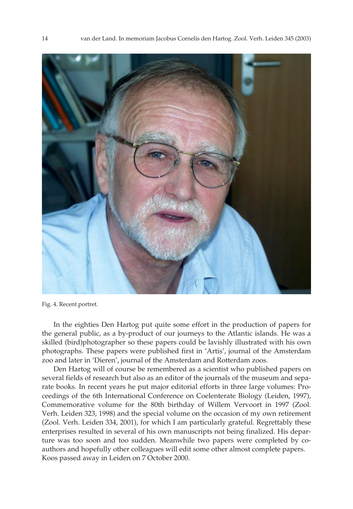

Fig. 4. Recent portret.

In the eighties Den Hartog put quite some effort in the production of papers for the general public, as a by-product of our journeys to the Atlantic islands. He was a skilled (bird)photographer so these papers could be lavishly illustrated with his own photographs. These papers were published first in 'Artis', journal of the Amsterdam zoo and later in 'Dieren', journal of the Amsterdam and Rotterdam zoos.

Den Hartog will of course be remembered as a scientist who published papers on several fields of research but also as an editor of the journals of the museum and separate books. In recent years he put major editorial efforts in three large volumes: Proceedings of the 6th International Conference on Coelenterate Biology (Leiden, 1997), Commemorative volume for the 80th birthday of Willem Vervoort in 1997 (Zool. Verh. Leiden 323, 1998) and the special volume on the occasion of my own retirement (Zool. Verh. Leiden 334, 2001), for which I am particularly grateful. Regrettably these enterprises resulted in several of his own manuscripts not being finalized. His departure was too soon and too sudden. Meanwhile two papers were completed by coauthors and hopefully other colleagues will edit some other almost complete papers. Koos passed away in Leiden on 7 October 2000.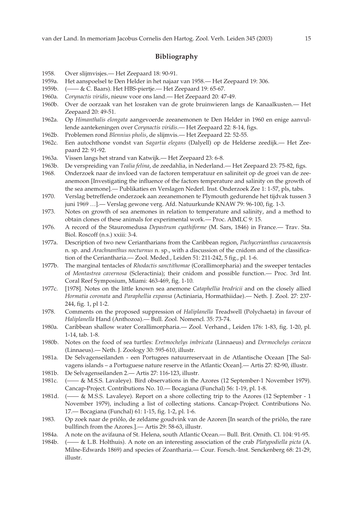## **Bibliography**

- 1958. Over slijmvisjes.— Het Zeepaard 18: 90-91.
- 1959a. Het aanspoelsel te Den Helder in het najaar van 1958.— Het Zeepaard 19: 306.
- 1959b. (—— & C. Baars). Het HBS-piertje.— Het Zeepaard 19: 65-67.
- 1960a. *Corynactis viridis*, nieuw voor ons land.— Het Zeepaard 20: 47-49.
- 1960b. Over de oorzaak van het losraken van de grote bruinwieren langs de Kanaalkusten.— Het Zeepaard 20: 49-51.
- 1962a. Op *Himanthalis elongata* aangevoerde zeeanemonen te Den Helder in 1960 en enige aanvullende aantekeningen over *Corynactis viridis*.— Het Zeepaard 22: 8-14, figs.
- 1962b. Problemen rond *Blennius pholis*, de slijmvis.— Het Zeepaard 22: 52-55.
- 1962c. Een autochthone vondst van *Sagartia elegans* (Dalyell) op de Helderse zeedijk.— Het Zeepaard 22: 91-92.
- 1963a. Vissen langs het strand van Katwijk.— Het Zeepaard 23: 6-8.
- 1963b. De verspreiding van *Tealia felina*, de zeedahlia, in Nederland.— Het Zeepaard 23: 75-82, figs.
- 1968. Onderzoek naar de invloed van de factoren temperatuur en saliniteit op de groei van de zeeanemoon [Investigating the influence of the factors temperature and salinity on the growth of the sea anemone].— Publikaties en Verslagen Nederl. Inst. Onderzoek Zee 1: 1-57, pls, tabs.
- 1970. Verslag betreffende onderzoek aan zeeanemonen te Plymouth gedurende het tijdvak tussen 3 juni 1969 …].— Verslag gewone verg. Afd. Natuurkunde KNAW 79: 96-100, fig. 1-3.
- 1973. Notes on growth of sea anemones in relation to temperature and salinity, and a method to obtain clones of these animals for experimental work.— Proc. AIMLC 9: 15.
- 1976. A record of the Stauromedusa *Depastrum cyathiforme* (M. Sars, 1846) in France.— Trav. Sta. Biol. Roscoff (n.s.) xxiii: 3-4.
- 1977a. Description of two new Ceriantharians from the Caribbean region, *Pachycerianthus curacaoensi*s n. sp. and *Arachnanthus nocturnus* n. sp., with a discussion of the cnidom and of the classification of the Ceriantharia.— Zool. Meded., Leiden 51: 211-242, 5 fig., pl. 1-6.
- 1977b. The marginal tentacles of *Rhodactis sanctithomae* (Corallimorpharia) and the sweeper tentacles of *Montastrea cavernosa* (Scleractinia); their cnidom and possible function.— Proc. 3rd Int. Coral Reef Symposium, Miami: 463-469, fig. 1-10.
- 1977c. [1978]. Notes on the little known sea anemone *Cataphellia brodricii* and on the closely allied *Hormatia coronata* and *Paraphellia expansa* (Actiniaria, Hormathiidae).— Neth. J. Zool. 27: 237- 244, fig. 1, pl 1-2.
- 1978. Comments on the proposed suppression of *Haliplanella* Treadwell (Polychaeta) in favour of *Haliplanella* Hand (Anthozoa).— Bull. Zool. Nomencl. 35: 73-74.
- 1980a. Caribbean shallow water Corallimorpharia.— Zool. Verhand., Leiden 176: 1-83, fig. 1-20, pl. 1-14, tab. 1-8.
- 1980b. Notes on the food of sea turtles: *Eretmochelys imbricata* (Linnaeus) and *Dermochelys coriacea* (Linnaeus).— Neth. J. Zoology 30: 595-610, illustr.
- 1981a. De Selvagenseilanden een Portugees natuurreservaat in de Atlantische Oceaan [The Salvagens islands – a Portuguese nature reserve in the Atlantic Ocean].— Artis 27: 82-90, illustr.
- 1981b. De Selvagenseilanden 2.— Artis 27: 116-123, illustr.
- 1981c. (—— & M.S.S. Lavaleye). Bird observations in the Azores (12 September-1 November 1979). Cancap-Project. Contributions No. 10.— Bocagiana (Funchal) 56: 1-19, pl. 1-8.
- 1981d. (—— & M.S.S. Lavaleye). Report on a shore collecting trip to the Azores (12 September 1 November 1979), including a list of collecting stations. Cancap-Project. Contributions No. 17.— Bocagiana (Funchal) 61: 1-15, fig. 1-2, pl. 1-6.
- 1983. Op zoek naar de priôlo, de zeldame goudvink van de Azoren [In search of the priôlo, the rare bullfinch from the Azores.].— Artis 29: 58-63, illustr.
- 1984a. A note on the avifauna of St. Helena, south Atlantic Ocean.— Bull. Brit. Ornith. Cl. 104: 91-95.
- 1984b. (—— & L.B. Holthuis). A note on an interesting association of the crab *Platypodiella picta* (A. Milne-Edwards 1869) and species of Zoantharia.— Cour. Forsch.-Inst. Senckenberg 68: 21-29, illustr.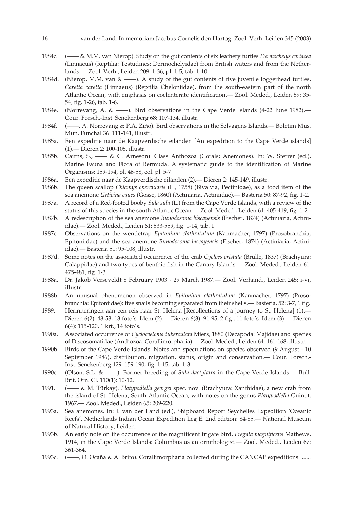- 16 van der Land. In memoriam Jacobus Cornelis den Hartog. Zool. Verh. Leiden 345 (2003)
- 1984c. (—— & M.M. van Nierop). Study on the gut contents of six leathery turtles *Dermochelys coriacea* (Linnaeus) (Reptilia: Testudines: Dermochelyidae) from British waters and from the Netherlands.— Zool. Verh., Leiden 209: 1-36, pl. 1-5, tab. 1-10.
- 1984d. (Nierop, M.M. van  $\& \longrightarrow$ ). A study of the gut contents of five juvenile loggerhead turtles, *Caretta caretta* (Linnaeus) (Reptilia Cheloniidae), from the south-eastern part of the north Atlantic Ocean, with emphasis on coelenterate identification.— Zool. Meded., Leiden 59: 35- 54, fig. 1-26, tab. 1-6.
- 1984e. (Nørrevang, A. & ——). Bird observations in the Cape Verde Islands (4-22 June 1982).— Cour. Forsch.-Inst. Senckenberg 68: 107-134, illustr.
- 1984f. (——, A. Nørrevang & P.A. Ziño). Bird observations in the Selvagens Islands.— Boletim Mus. Mun. Funchal 36: 111-141, illustr.
- 1985a. Een expeditie naar de Kaapverdische eilanden [An expedition to the Cape Verde islands] (1).— Dieren 2: 100-105, illustr.
- 1985b. Cairns, S., —— & C. Arneson). Class Anthozoa (Corals; Anemones). In: W. Sterrer (ed.), Marine Fauna and Flora of Bermuda. A systematic guide to the identification of Marine Organisms: 159-194, pl. 46-58, col. pl. 5-7.
- 1986a. Een expeditie naar de Kaapverdische eilanden (2).— Dieren 2: 145-149, illustr.
- 1986b. The queen scallop *Chlamys opercularis* (L., 1758) (Bivalvia, Pectinidae), as a food item of the sea anemone *Urticina eques* (Gosse, 1860) (Actiniaria, Actiniidae).— Basteria 50: 87-92, fig. 1-2.
- 1987a. A record of a Red-footed booby *Sula sula* (L.) from the Cape Verde Islands, with a review of the status of this species in the south Atlantic Ocean.— Zool. Meded., Leiden 61: 405-419, fig. 1-2.
- 1987b. A redescription of the sea anemone *Bunodosoma biscayensis* (Fischer, 1874) (Actiniaria, Actiniidae).— Zool. Meded., Leiden 61: 533-559, fig. 1-14, tab. 1.
- 1987c. Observations on the wentletrap *Epitonium clathratulum* (Kanmacher, 1797) (Prosobranchia, Epitoniidae) and the sea anemone *Bunodosoma biscayensis* (Fischer, 1874) (Actiniaria, Actiniidae).— Basteria 51: 95-108, illustr.
- 1987d. Some notes on the associated occurrence of the crab *Cycloes cristata* (Brulle, 1837) (Brachyura: Calappidae) and two types of benthic fish in the Canary Islands.— Zool. Meded., Leiden 61: 475-481, fig. 1-3.
- 1988a. Dr. Jakob Verseveldt 8 February 1903 29 March 1987.— Zool. Verhand., Leiden 245: i-vi, illustr.
- 1988b. An unusual phenomenon observed in *Epitonium clathratulum* (Kanmacher, 1797) (Prosobranchia: Epitoniidae): live snails becoming separated from their shells.— Basteria, 52: 3-7, 1 fig.
- 1989. Herinneringen aan een reis naar St. Helena [Recollections of a journey to St. Helena] (1).— Dieren 6(2): 48-53, 13 foto's. Idem (2).— Dieren 6(3): 91-95, 2 fig., 11 foto's. Idem (3).— Dieren 6(4): 115-120, 1 krt., 14 foto's.
- 1990a. Associated occurrence of *Cyclocoeloma tuberculata* Miers, 1880 (Decapoda: Majidae) and species of Discosomatidae (Anthozoa: Corallimorpharia).— Zool. Meded., Leiden 64: 161-168, illustr.
- 1990b. Birds of the Cape Verde Islands. Notes and speculations on species observed (9 August 10 September 1986), distribution, migration, status, origin and conservation.— Cour. Forsch.- Inst. Senckenberg 129: 159-190, fig. 1-15, tab. 1-3.
- 1990c. (Olson, S.L. & ——). Former breeding of *Sula dactylatra* in the Cape Verde Islands.— Bull. Brit. Orn. Cl. 110(1): 10-12.
- 1991. (—— & M. Türkay). *Platypodiella georgei* spec. nov. (Brachyura: Xanthidae), a new crab from the island of St. Helena, South Atlantic Ocean, with notes on the genus *Platypodiella* Guinot, 1967.— Zool. Meded., Leiden 65: 209-220.
- 1993a. Sea anemones. In: J. van der Land (ed.), Shipboard Report Seychelles Expedition 'Oceanic Reefs'. Netherlands Indian Ocean Expedition Leg E. 2nd edition: 84-85.— National Museum of Natural History, Leiden.
- 1993b. An early note on the occurrence of the magnificent frigate bird, *Fregata magnificens* Mathews, 1914, in the Cape Verde Islands: Columbus as an ornithologist.— Zool. Meded., Leiden 67: 361-364.
- 1993c. (——, O. Ocaña & A. Brito). Corallimorpharia collected during the CANCAP expeditions .......